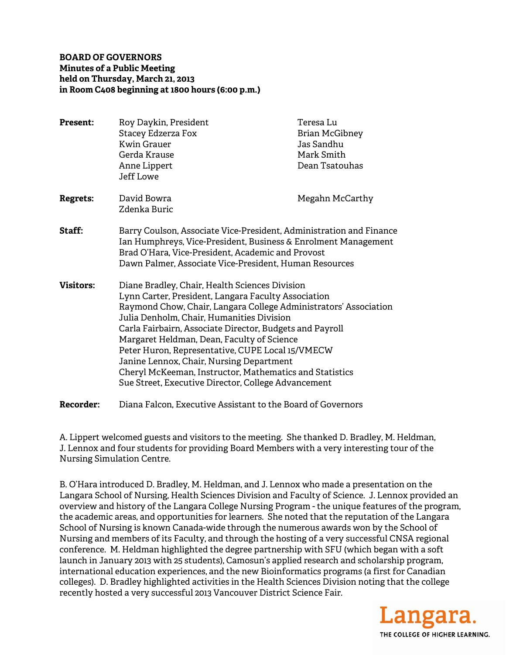**BOARD OF GOVERNORS Minutes of a Public Meeting held on Thursday, March 21, 2013 in Room C408 beginning at 1800 hours (6:00 p.m.)** 

| <b>Present:</b>  | Roy Daykin, President<br><b>Stacey Edzerza Fox</b><br><b>Kwin Grauer</b><br>Gerda Krause<br>Anne Lippert<br><b>Jeff Lowe</b>                                                                                                                                                                                                                                                                                                                                                                                                                       | Teresa Lu<br><b>Brian McGibney</b><br>Jas Sandhu<br>Mark Smith<br>Dean Tsatouhas |
|------------------|----------------------------------------------------------------------------------------------------------------------------------------------------------------------------------------------------------------------------------------------------------------------------------------------------------------------------------------------------------------------------------------------------------------------------------------------------------------------------------------------------------------------------------------------------|----------------------------------------------------------------------------------|
| <b>Regrets:</b>  | David Bowra<br>Zdenka Buric                                                                                                                                                                                                                                                                                                                                                                                                                                                                                                                        | Megahn McCarthy                                                                  |
| <b>Staff:</b>    | Barry Coulson, Associate Vice-President, Administration and Finance<br>Ian Humphreys, Vice-President, Business & Enrolment Management<br>Brad O'Hara, Vice-President, Academic and Provost<br>Dawn Palmer, Associate Vice-President, Human Resources                                                                                                                                                                                                                                                                                               |                                                                                  |
| <b>Visitors:</b> | Diane Bradley, Chair, Health Sciences Division<br>Lynn Carter, President, Langara Faculty Association<br>Raymond Chow, Chair, Langara College Administrators' Association<br>Julia Denholm, Chair, Humanities Division<br>Carla Fairbairn, Associate Director, Budgets and Payroll<br>Margaret Heldman, Dean, Faculty of Science<br>Peter Huron, Representative, CUPE Local 15/VMECW<br>Janine Lennox, Chair, Nursing Department<br>Cheryl McKeeman, Instructor, Mathematics and Statistics<br>Sue Street, Executive Director, College Advancement |                                                                                  |
| <b>Recorder:</b> | Diana Falcon, Executive Assistant to the Board of Governors                                                                                                                                                                                                                                                                                                                                                                                                                                                                                        |                                                                                  |

A. Lippert welcomed guests and visitors to the meeting. She thanked D. Bradley, M. Heldman, J. Lennox and four students for providing Board Members with a very interesting tour of the Nursing Simulation Centre.

B. O'Hara introduced D. Bradley, M. Heldman, and J. Lennox who made a presentation on the Langara School of Nursing, Health Sciences Division and Faculty of Science. J. Lennox provided an overview and history of the Langara College Nursing Program - the unique features of the program, the academic areas, and opportunities for learners. She noted that the reputation of the Langara School of Nursing is known Canada-wide through the numerous awards won by the School of Nursing and members of its Faculty, and through the hosting of a very successful CNSA regional conference. M. Heldman highlighted the degree partnership with SFU (which began with a soft launch in January 2013 with 25 students), Camosun's applied research and scholarship program, international education experiences, and the new Bioinformatics programs (a first for Canadian colleges). D. Bradley highlighted activities in the Health Sciences Division noting that the college recently hosted a very successful 2013 Vancouver District Science Fair.

> Langara. THE COLLEGE OF HIGHER LEARNING.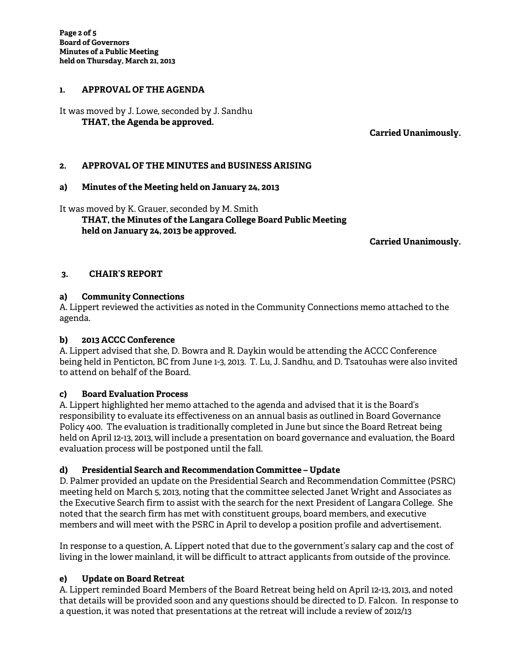### **1. APPROVAL OF THE AGENDA**

It was moved by J. Lowe, seconded by J. Sandhu  **THAT, the Agenda be approved.** 

**Carried Unanimously.** 

## **2. APPROVAL OF THE MINUTES and BUSINESS ARISING**

### **a) Minutes of the Meeting held on January 24, 2013**

It was moved by K. Grauer, seconded by M. Smith  **THAT, the Minutes of the Langara College Board Public Meeting held on January 24, 2013 be approved.** 

**Carried Unanimously.** 

#### **3. CHAIR'S REPORT**

### **a) Community Connections**

A. Lippert reviewed the activities as noted in the Community Connections memo attached to the agenda.

### **b) 2013 ACCC Conference**

A. Lippert advised that she, D. Bowra and R. Daykin would be attending the ACCC Conference being held in Penticton, BC from June 1-3, 2013. T. Lu, J. Sandhu, and D. Tsatouhas were also invited to attend on behalf of the Board.

### **c) Board Evaluation Process**

A. Lippert highlighted her memo attached to the agenda and advised that it is the Board's responsibility to evaluate its effectiveness on an annual basis as outlined in Board Governance Policy 400. The evaluation is traditionally completed in June but since the Board Retreat being held on April 12-13, 2013, will include a presentation on board governance and evaluation, the Board evaluation process will be postponed until the fall.

### **d) Presidential Search and Recommendation Committee – Update**

D. Palmer provided an update on the Presidential Search and Recommendation Committee (PSRC) meeting held on March 5, 2013, noting that the committee selected Janet Wright and Associates as the Executive Search firm to assist with the search for the next President of Langara College. She noted that the search firm has met with constituent groups, board members, and executive members and will meet with the PSRC in April to develop a position profile and advertisement.

In response to a question, A. Lippert noted that due to the government's salary cap and the cost of living in the lower mainland, it will be difficult to attract applicants from outside of the province.

### **e) Update on Board Retreat**

A. Lippert reminded Board Members of the Board Retreat being held on April 12-13, 2013, and noted that details will be provided soon and any questions should be directed to D. Falcon. In response to a question, it was noted that presentations at the retreat will include a review of 2012/13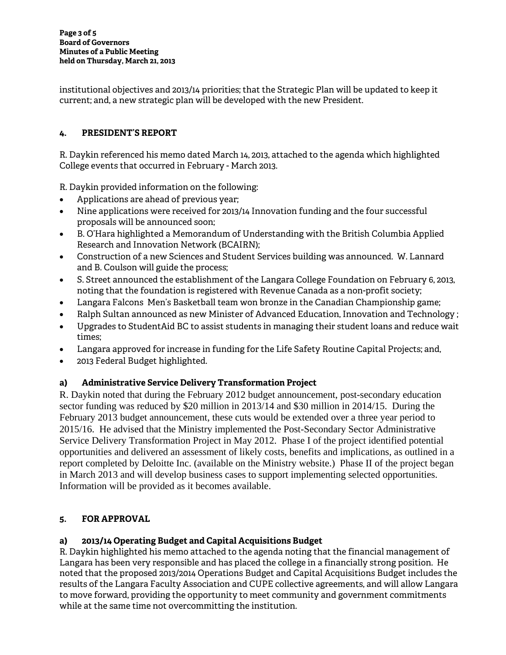institutional objectives and 2013/14 priorities; that the Strategic Plan will be updated to keep it current; and, a new strategic plan will be developed with the new President.

# **4. PRESIDENT'S REPORT**

R. Daykin referenced his memo dated March 14, 2013, attached to the agenda which highlighted College events that occurred in February - March 2013.

R. Daykin provided information on the following:

- Applications are ahead of previous year;
- Nine applications were received for 2013/14 Innovation funding and the four successful proposals will be announced soon;
- B. O'Hara highlighted a Memorandum of Understanding with the British Columbia Applied Research and Innovation Network (BCAIRN);
- Construction of a new Sciences and Student Services building was announced. W. Lannard and B. Coulson will guide the process;
- S. Street announced the establishment of the Langara College Foundation on February 6, 2013, noting that the foundation is registered with Revenue Canada as a non-profit society;
- Langara Falcons Men's Basketball team won bronze in the Canadian Championship game;
- Ralph Sultan announced as new Minister of Advanced Education, Innovation and Technology ;
- Upgrades to StudentAid BC to assist students in managing their student loans and reduce wait times;
- Langara approved for increase in funding for the Life Safety Routine Capital Projects; and,
- 2013 Federal Budget highlighted.

# **a) Administrative Service Delivery Transformation Project**

R. Daykin noted that during the February 2012 budget announcement, post-secondary education sector funding was reduced by \$20 million in 2013/14 and \$30 million in 2014/15. During the February 2013 budget announcement, these cuts would be extended over a three year period to 2015/16. He advised that the Ministry implemented the Post-Secondary Sector Administrative Service Delivery Transformation Project in May 2012. Phase I of the project identified potential opportunities and delivered an assessment of likely costs, benefits and implications, as outlined in a report completed by Deloitte Inc. (available on the Ministry website.) Phase II of the project began in March 2013 and will develop business cases to support implementing selected opportunities. Information will be provided as it becomes available.

# **5. FOR APPROVAL**

### **a) 2013/14 Operating Budget and Capital Acquisitions Budget**

R. Daykin highlighted his memo attached to the agenda noting that the financial management of Langara has been very responsible and has placed the college in a financially strong position. He noted that the proposed 2013/2014 Operations Budget and Capital Acquisitions Budget includes the results of the Langara Faculty Association and CUPE collective agreements, and will allow Langara to move forward, providing the opportunity to meet community and government commitments while at the same time not overcommitting the institution.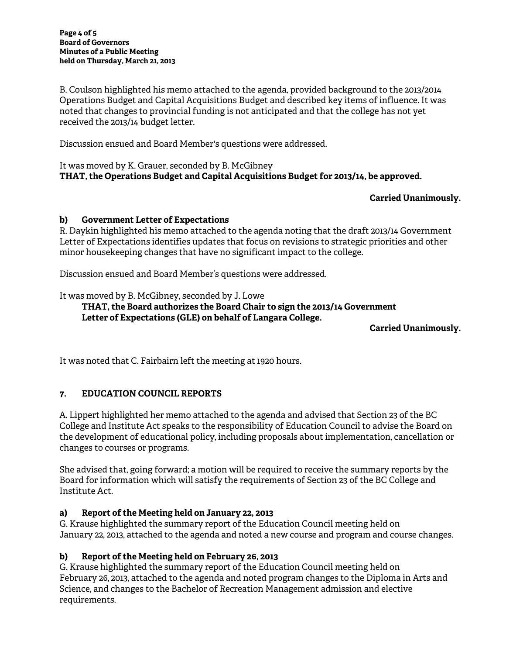B. Coulson highlighted his memo attached to the agenda, provided background to the 2013/2014 Operations Budget and Capital Acquisitions Budget and described key items of influence. It was noted that changes to provincial funding is not anticipated and that the college has not yet received the 2013/14 budget letter.

Discussion ensued and Board Member's questions were addressed.

It was moved by K. Grauer, seconded by B. McGibney **THAT, the Operations Budget and Capital Acquisitions Budget for 2013/14, be approved.** 

# **Carried Unanimously.**

### **b) Government Letter of Expectations**

R. Daykin highlighted his memo attached to the agenda noting that the draft 2013/14 Government Letter of Expectations identifies updates that focus on revisions to strategic priorities and other minor housekeeping changes that have no significant impact to the college.

Discussion ensued and Board Member's questions were addressed.

It was moved by B. McGibney, seconded by J. Lowe

## **THAT, the Board authorizes the Board Chair to sign the 2013/14 Government Letter of Expectations (GLE) on behalf of Langara College.**

### **Carried Unanimously.**

It was noted that C. Fairbairn left the meeting at 1920 hours.

# **7. EDUCATION COUNCIL REPORTS**

A. Lippert highlighted her memo attached to the agenda and advised that Section 23 of the BC College and Institute Act speaks to the responsibility of Education Council to advise the Board on the development of educational policy, including proposals about implementation, cancellation or changes to courses or programs.

She advised that, going forward; a motion will be required to receive the summary reports by the Board for information which will satisfy the requirements of Section 23 of the BC College and Institute Act.

### **a) Report of the Meeting held on January 22, 2013**

G. Krause highlighted the summary report of the Education Council meeting held on January 22, 2013, attached to the agenda and noted a new course and program and course changes.

### **b) Report of the Meeting held on February 26, 2013**

G. Krause highlighted the summary report of the Education Council meeting held on February 26, 2013, attached to the agenda and noted program changes to the Diploma in Arts and Science, and changes to the Bachelor of Recreation Management admission and elective requirements.